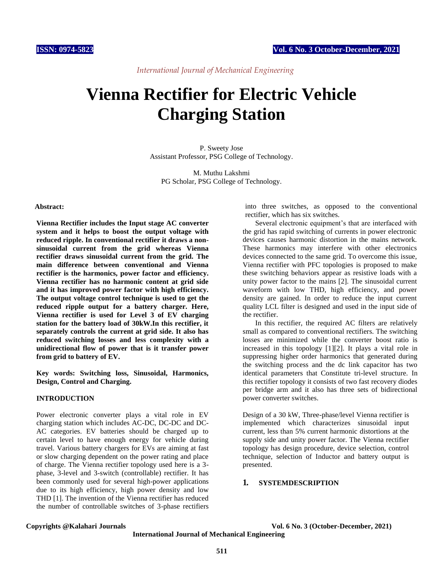*International Journal of Mechanical Engineering*

# **Vienna Rectifier for Electric Vehicle Charging Station**

P. Sweety Jose Assistant Professor, PSG College of Technology.

M. Muthu Lakshmi PG Scholar, PSG College of Technology.

### **Abstract:**

**Vienna Rectifier includes the Input stage AC converter system and it helps to boost the output voltage with reduced ripple. In conventional rectifier it draws a nonsinusoidal current from the grid whereas Vienna rectifier draws sinusoidal current from the grid. The main difference between conventional and Vienna rectifier is the harmonics, power factor and efficiency. Vienna rectifier has no harmonic content at grid side and it has improved power factor with high efficiency. The output voltage control technique is used to get the reduced ripple output for a battery charger. Here, Vienna rectifier is used for Level 3 of EV charging station for the battery load of 30kW.In this rectifier, it separately controls the current at grid side. It also has reduced switching losses and less complexity with a unidirectional flow of power that is it transfer power from grid to battery of EV.** 

**Key words: Switching loss, Sinusoidal, Harmonics, Design, Control and Charging.**

# **INTRODUCTION**

Power electronic converter plays a vital role in EV charging station which includes AC-DC, DC-DC and DC-AC categories. EV batteries should be charged up to certain level to have enough energy for vehicle during travel. Various battery chargers for EVs are aiming at fast or slow charging dependent on the power rating and place of charge. The Vienna rectifier topology used here is a 3 phase, 3-level and 3-switch (controllable) rectifier. It has been commonly used for several high-power applications due to its high efficiency, high power density and low THD [1]. The invention of the Vienna rectifier has reduced the number of controllable switches of 3-phase rectifiers

into three switches, as opposed to the conventional rectifier, which has six switches.

Several electronic equipment's that are interfaced with the grid has rapid switching of currents in power electronic devices causes harmonic distortion in the mains network. These harmonics may interfere with other electronics devices connected to the same grid. To overcome this issue, Vienna rectifier with PFC topologies is proposed to make these switching behaviors appear as resistive loads with a unity power factor to the mains [2]. The sinusoidal current waveform with low THD, high efficiency, and power density are gained. In order to reduce the input current quality LCL filter is designed and used in the input side of the rectifier.

In this rectifier, the required AC filters are relatively small as compared to conventional rectifiers. The switching losses are minimized while the converter boost ratio is increased in this topology [1][2]. It plays a vital role in suppressing higher order harmonics that generated during the switching process and the dc link capacitor has two identical parameters that Constitute tri-level structure. In this rectifier topology it consists of two fast recovery diodes per bridge arm and it also has three sets of bidirectional power converter switches.

Design of a 30 kW, Three-phase/level Vienna rectifier is implemented which characterizes sinusoidal input current, less than 5% current harmonic distortions at the supply side and unity power factor. The Vienna rectifier topology has design procedure, device selection, control technique, selection of Inductor and battery output is presented.

# **1. SYSTEMDESCRIPTION**

**Copyrights @Kalahari Journals Vol. 6 No. 3 (October-December, 2021)**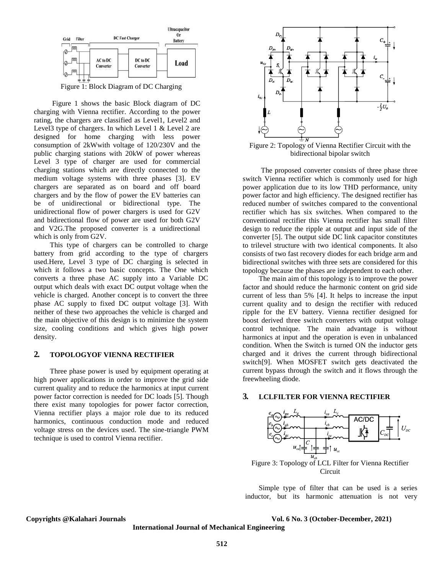

Figure 1: Block Diagram of DC Charging

Figure 1 shows the basic Block diagram of DC charging with Vienna rectifier. According to the power rating, the chargers are classified as Level1, Level2 and Level3 type of chargers. In which Level 1 & Level 2 are designed for home charging with less power consumption of 2kWwith voltage of 120/230V and the public charging stations with 20kW of power whereas Level 3 type of charger are used for commercial charging stations which are directly connected to the medium voltage systems with three phases [3]. EV chargers are separated as on board and off board chargers and by the flow of power the EV batteries can be of unidirectional or bidirectional type. The unidirectional flow of power chargers is used for G2V and bidirectional flow of power are used for both G2V and V2G.The proposed converter is a unidirectional which is only from G2V.

This type of chargers can be controlled to charge battery from grid according to the type of chargers used.Here, Level 3 type of DC charging is selected in which it follows a two basic concepts. The One which converts a three phase AC supply into a Variable DC output which deals with exact DC output voltage when the vehicle is charged. Another concept is to convert the three phase AC supply to fixed DC output voltage [3]. With neither of these two approaches the vehicle is charged and the main objective of this design is to minimize the system size, cooling conditions and which gives high power density.

# **2. TOPOLOGYOF VIENNA RECTIFIER**

Three phase power is used by equipment operating at high power applications in order to improve the grid side current quality and to reduce the harmonics at input current power factor correction is needed for DC loads [5]. Though there exist many topologies for power factor correction, Vienna rectifier plays a major role due to its reduced harmonics, continuous conduction mode and reduced voltage stress on the devices used. The sine-triangle PWM technique is used to control Vienna rectifier.



Figure 2: Topology of Vienna Rectifier Circuit with the bidirectional bipolar switch

The proposed converter consists of three phase three switch Vienna rectifier which is commonly used for high power application due to its low THD performance, unity power factor and high efficiency. The designed rectifier has reduced number of switches compared to the conventional rectifier which has six switches. When compared to the conventional rectifier this Vienna rectifier has small filter design to reduce the ripple at output and input side of the converter [5]. The output side DC link capacitor constitutes to trilevel structure with two identical components. It also consists of two fast recovery diodes for each bridge arm and bidirectional switches with three sets are considered for this topology because the phases are independent to each other.

The main aim of this topology is to improve the power factor and should reduce the harmonic content on grid side current of less than 5% [4]. It helps to increase the input current quality and to design the rectifier with reduced ripple for the EV battery. Vienna rectifier designed for boost derived three switch converters with output voltage control technique. The main advantage is without harmonics at input and the operation is even in unbalanced condition. When the Switch is turned ON the inductor gets charged and it drives the current through bidirectional switch[9]. When MOSFET switch gets deactivated the current bypass through the switch and it flows through the freewheeling diode.

## **3. LCLFILTER FOR VIENNA RECTIFIER**



**Circuit** 

Simple type of filter that can be used is a series inductor, but its harmonic attenuation is not very

#### **Copyrights @Kalahari Journals Vol. 6 No. 3 (October-December, 2021)**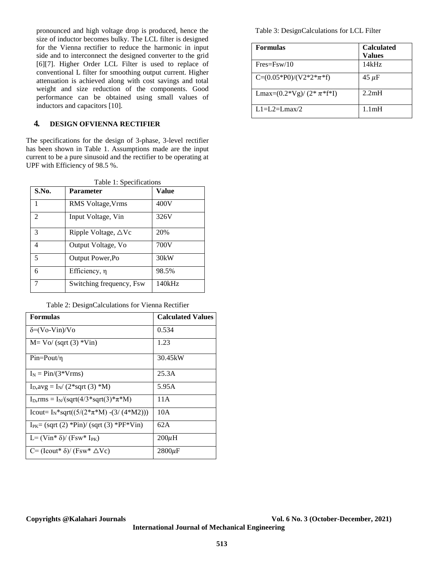pronounced and high voltage drop is produced, hence the size of inductor becomes bulky. The LCL filter is designed for the Vienna rectifier to reduce the harmonic in input side and to interconnect the designed converter to the grid [6][7]. Higher Order LCL Filter is used to replace of conventional L filter for smoothing output current. Higher attenuation is achieved along with cost savings and total weight and size reduction of the components. Good performance can be obtained using small values of inductors and capacitors [10].

# **4. DESIGN OFVIENNA RECTIFIER**

The specifications for the design of 3-phase, 3-level rectifier has been shown in Table 1. Assumptions made are the input current to be a pure sinusoid and the rectifier to be operating at UPF with Efficiency of 98.5 %.

Table 1: Specifications

| S.No.                       | <b>Parameter</b>               | Value  |
|-----------------------------|--------------------------------|--------|
|                             | RMS Voltage, Vrms              | 400V   |
| $\mathcal{D}_{\mathcal{L}}$ | Input Voltage, Vin             | 326V   |
| $\mathcal{R}$               | Ripple Voltage, $\triangle$ Vc | 20%    |
| 4                           | Output Voltage, Vo             | 700V   |
| 5                           | Output Power, Po               | 30kW   |
| 6                           | Efficiency, η                  | 98.5%  |
| 7                           | Switching frequency, Fsw.      | 140kHz |

Table 2: DesignCalculations for Vienna Rectifier

| <b>Formulas</b>                                              | <b>Calculated Values</b> |
|--------------------------------------------------------------|--------------------------|
| $\delta = (Vo-Vin)/Vo$                                       | 0.534                    |
| $M = Vo/(sqrt(3) * Vin)$                                     | 1.23                     |
| $Pin=$ Pout/ $\eta$                                          | 30.45kW                  |
| $I_N = Pin/(3*Vrms)$                                         | 25.3A                    |
| $I_D$ , avg = $I_N$ (2*sqrt (3) *M)                          | 5.95A                    |
| $I_D, rms = I_N/(sqrt(4/3 * sqrt(3) * π * M))$               | 11 A                     |
| Icout= $I_N$ *sqrt((5/(2* $\pi$ *M) -(3/(4*M2)))             | 10A                      |
| $I_{PK} = (sqrt(2) *Pin)/(sqrt(3) *PF*Vin)$                  | 62A                      |
| L= $(\text{Vir}^*\delta)/(\text{Fsw}^*\text{I}_{\text{PK}})$ | $200\mu H$               |
| C= (Icout* $\delta$ )/ (Fsw* $\Delta$ Vc)                    | $2800 \mu F$             |

Table 3: DesignCalculations for LCL Filter

| <b>Formulas</b>                 | <b>Calculated</b><br><b>Values</b> |
|---------------------------------|------------------------------------|
| $Fres = Fsw/10$                 | 14kHz                              |
| $C=(0.05*P0)/(V2*2*{\pi *f})$   | $45 \mu F$                         |
| Lmax= $(0.2*Vg)/(2* \pi *f *I)$ | 2.2mH                              |
| $1.1 = I.2 = I. max/2$          | 1.1 <sub>m</sub> H                 |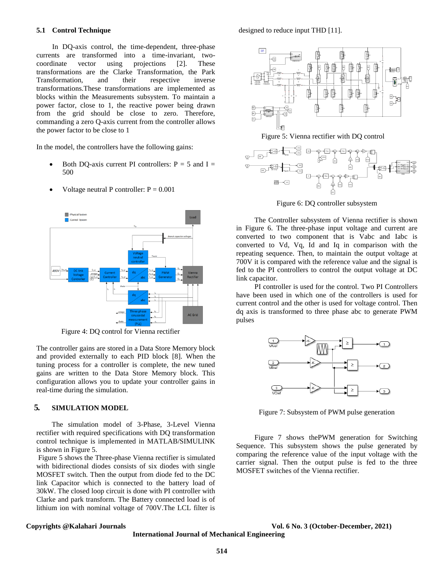#### **5.1 Control Technique**

In DQ-axis control, the time-dependent, three-phase currents are transformed into a time-invariant, twocoordinate vector using projections [2]. These transformations are the Clarke Transformation, the Park Transformation, and their respective inverse transformations.These transformations are implemented as blocks within the Measurements subsystem. To maintain a power factor, close to 1, the reactive power being drawn from the grid should be close to zero. Therefore, commanding a zero Q-axis current from the controller allows the power factor to be close to 1

In the model, the controllers have the following gains:

Both DO-axis current PI controllers:  $P = 5$  and  $I =$ 500



Voltage neutral P controller:  $P = 0.001$ 

Figure 4: DQ control for Vienna rectifier

The controller gains are stored in a Data Store Memory block and provided externally to each PID block [8]. When the tuning process for a controller is complete, the new tuned gains are written to the Data Store Memory block. This configuration allows you to update your controller gains in real-time during the simulation.

## **5. SIMULATION MODEL**

The simulation model of 3-Phase, 3-Level Vienna rectifier with required specifications with DQ transformation control technique is implemented in MATLAB/SIMULINK is shown in Figure 5.

Figure 5 shows the Three-phase Vienna rectifier is simulated with bidirectional diodes consists of six diodes with single MOSFET switch. Then the output from diode fed to the DC link Capacitor which is connected to the battery load of 30kW. The closed loop circuit is done with PI controller with Clarke and park transform. The Battery connected load is of lithium ion with nominal voltage of 700V.The LCL filter is

designed to reduce input THD [11].



Figure 5: Vienna rectifier with DQ control



Figure 6: DQ controller subsystem

The Controller subsystem of Vienna rectifier is shown in Figure 6. The three-phase input voltage and current are converted to two component that is Vabc and Iabc is converted to Vd, Vq, Id and Iq in comparison with the repeating sequence. Then, to maintain the output voltage at 700V it is compared with the reference value and the signal is fed to the PI controllers to control the output voltage at DC link capacitor.

PI controller is used for the control. Two PI Controllers have been used in which one of the controllers is used for current control and the other is used for voltage control. Then dq axis is transformed to three phase abc to generate PWM pulses



Figure 7: Subsystem of PWM pulse generation

Figure 7 shows thePWM generation for Switching Sequence. This subsystem shows the pulse generated by comparing the reference value of the input voltage with the carrier signal. Then the output pulse is fed to the three MOSFET switches of the Vienna rectifier.

#### **Copyrights @Kalahari Journals Vol. 6 No. 3 (October-December, 2021)**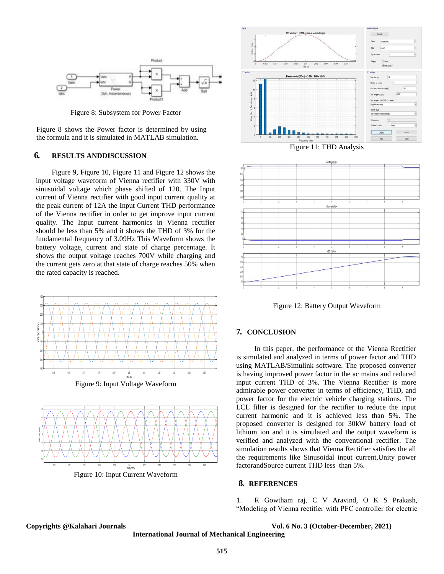

Figure 8: Subsystem for Power Factor

Figure 8 shows the Power factor is determined by using the formula and it is simulated in MATLAB simulation.

# **6. RESULTS ANDDISCUSSION**

Figure 9, Figure 10, Figure 11 and Figure 12 shows the input voltage waveform of Vienna rectifier with 330V with sinusoidal voltage which phase shifted of 120. The Input current of Vienna rectifier with good input current quality at the peak current of 12A the Input Current THD performance of the Vienna rectifier in order to get improve input current quality. The Input current harmonics in Vienna rectifier should be less than 5% and it shows the THD of 3% for the fundamental frequency of 3.09Hz This Waveform shows the battery voltage, current and state of charge percentage. It shows the output voltage reaches 700V while charging and the current gets zero at that state of charge reaches 50% when the rated capacity is reached.



Figure 9: Input Voltage Waveform





Figure 11: THD Analysis



Figure 12: Battery Output Waveform

# **7. CONCLUSION**

In this paper, the performance of the Vienna Rectifier is simulated and analyzed in terms of power factor and THD using MATLAB/Simulink software. The proposed converter is having improved power factor in the ac mains and reduced input current THD of 3%. The Vienna Rectifier is more admirable power converter in terms of efficiency, THD, and power factor for the electric vehicle charging stations. The LCL filter is designed for the rectifier to reduce the input current harmonic and it is achieved less than 5%. The proposed converter is designed for 30kW battery load of lithium ion and it is simulated and the output waveform is verified and analyzed with the conventional rectifier. The simulation results shows that Vienna Rectifier satisfies the all the requirements like Sinusoidal input current,Unity power factorandSource current THD less than 5%.

#### **8. REFERENCES**

1. R Gowtham raj, C V Aravind, O K S Prakash, "Modeling of Vienna rectifier with PFC controller for electric

**Copyrights @Kalahari Journals Vol. 6 No. 3 (October-December, 2021)**